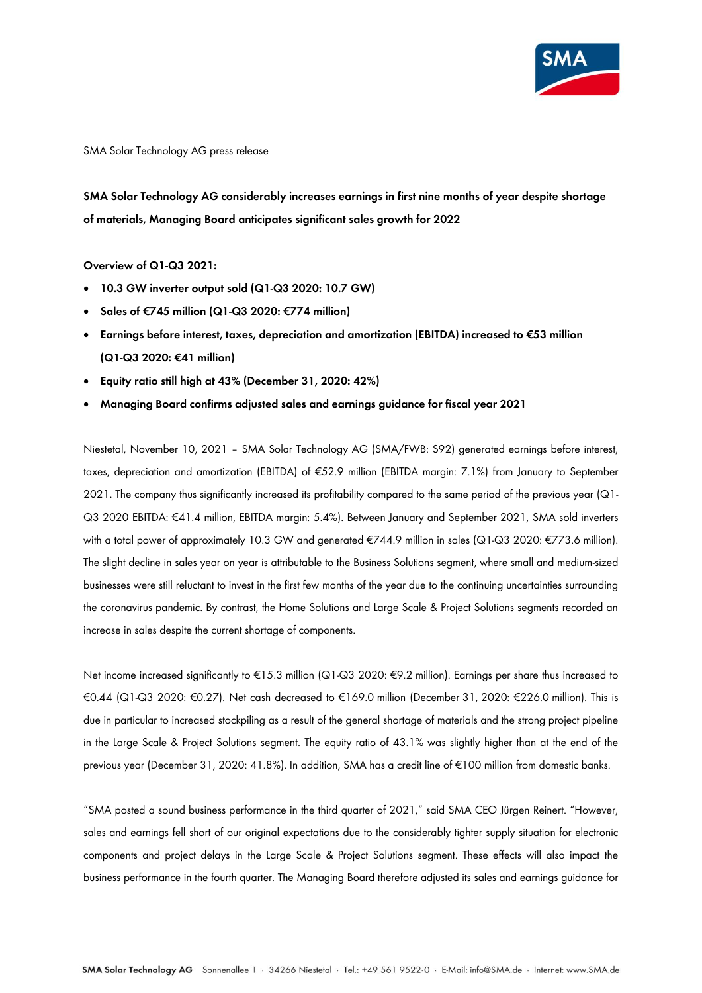

SMA Solar Technology AG press release

**SMA Solar Technology AG considerably increases earnings in first nine months of year despite shortage of materials, Managing Board anticipates significant sales growth for 2022**

### **Overview of Q1-Q3 2021:**

- **10.3 GW inverter output sold (Q1-Q3 2020: 10.7 GW)**
- **Sales of €745 million (Q1-Q3 2020: €774 million)**
- **Earnings before interest, taxes, depreciation and amortization (EBITDA) increased to €53 million (Q1-Q3 2020: €41 million)**
- **Equity ratio still high at 43% (December 31, 2020: 42%)**
- **Managing Board confirms adjusted sales and earnings guidance for fiscal year 2021**

Niestetal, November 10, 2021 – SMA Solar Technology AG (SMA/FWB: S92) generated earnings before interest, taxes, depreciation and amortization (EBITDA) of €52.9 million (EBITDA margin: 7.1%) from January to September 2021. The company thus significantly increased its profitability compared to the same period of the previous year (Q1- Q3 2020 EBITDA: €41.4 million, EBITDA margin: 5.4%). Between January and September 2021, SMA sold inverters with a total power of approximately 10.3 GW and generated €744.9 million in sales (Q1-Q3 2020: €773.6 million). The slight decline in sales year on year is attributable to the Business Solutions segment, where small and medium-sized businesses were still reluctant to invest in the first few months of the year due to the continuing uncertainties surrounding the coronavirus pandemic. By contrast, the Home Solutions and Large Scale & Project Solutions segments recorded an increase in sales despite the current shortage of components.

Net income increased significantly to €15.3 million (Q1-Q3 2020: €9.2 million). Earnings per share thus increased to €0.44 (Q1-Q3 2020: €0.27). Net cash decreased to €169.0 million (December 31, 2020: €226.0 million). This is due in particular to increased stockpiling as a result of the general shortage of materials and the strong project pipeline in the Large Scale & Project Solutions segment. The equity ratio of 43.1% was slightly higher than at the end of the previous year (December 31, 2020: 41.8%). In addition, SMA has a credit line of €100 million from domestic banks.

"SMA posted a sound business performance in the third quarter of 2021," said SMA CEO Jürgen Reinert. "However, sales and earnings fell short of our original expectations due to the considerably tighter supply situation for electronic components and project delays in the Large Scale & Project Solutions segment. These effects will also impact the business performance in the fourth quarter. The Managing Board therefore adjusted its sales and earnings guidance for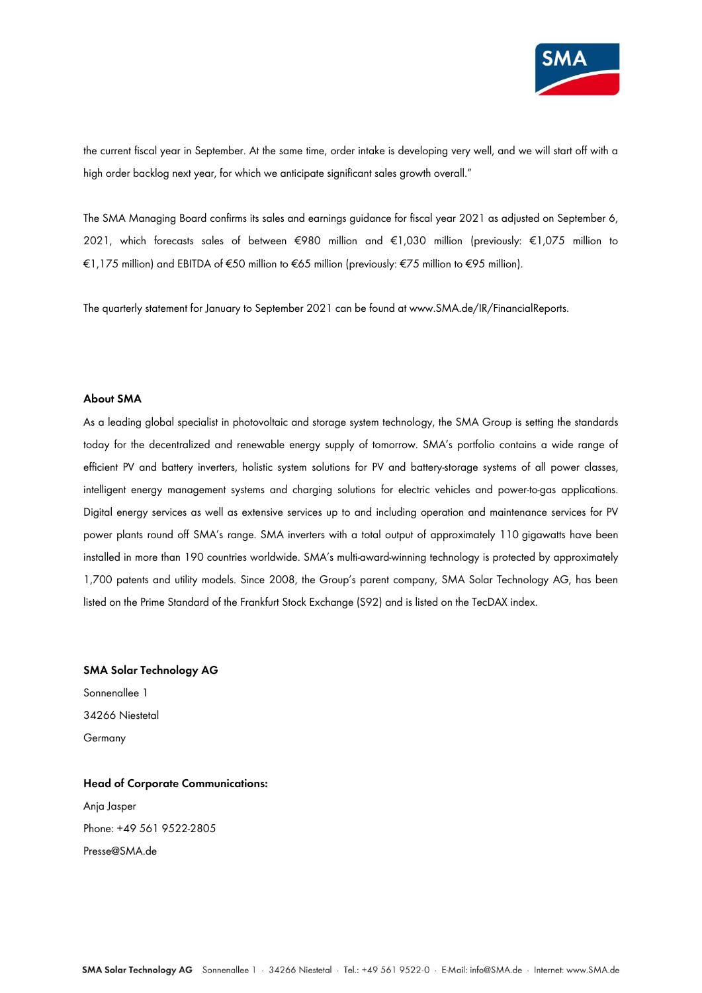

the current fiscal year in September. At the same time, order intake is developing very well, and we will start off with a high order backlog next year, for which we anticipate significant sales growth overall."

The SMA Managing Board confirms its sales and earnings guidance for fiscal year 2021 as adjusted on September 6, 2021, which forecasts sales of between €980 million and €1,030 million (previously: €1,075 million to €1,175 million) and EBITDA of €50 million to €65 million (previously: €75 million to €95 million).

The quarterly statement for January to September 2021 can be found at www.SMA.de/IR/FinancialReports.

### **About SMA**

As a leading global specialist in photovoltaic and storage system technology, the SMA Group is setting the standards today for the decentralized and renewable energy supply of tomorrow. SMA's portfolio contains a wide range of efficient PV and battery inverters, holistic system solutions for PV and battery-storage systems of all power classes, intelligent energy management systems and charging solutions for electric vehicles and power-to-gas applications. Digital energy services as well as extensive services up to and including operation and maintenance services for PV power plants round off SMA's range. SMA inverters with a total output of approximately 110 gigawatts have been installed in more than 190 countries worldwide. SMA's multi-award-winning technology is protected by approximately 1,700 patents and utility models. Since 2008, the Group's parent company, SMA Solar Technology AG, has been listed on the Prime Standard of the Frankfurt Stock Exchange (S92) and is listed on the TecDAX index.

## **SMA Solar Technology AG**

Sonnenallee 1 34266 Niestetal Germany

# **Head of Corporate Communications:** Anja Jasper Phone: +49 561 9522-2805 Presse@SMA.de